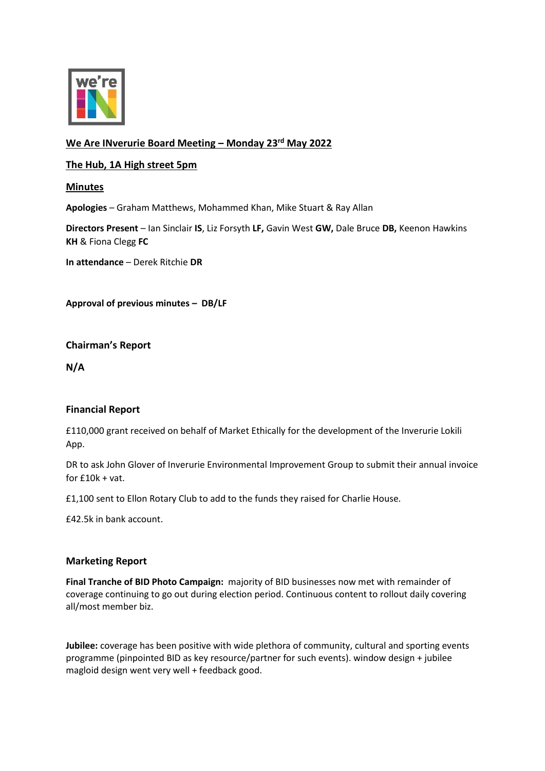

# **We Are INverurie Board Meeting – Monday 23rd May 2022**

## **The Hub, 1A High street 5pm**

## **Minutes**

**Apologies** – Graham Matthews, Mohammed Khan, Mike Stuart & Ray Allan

**Directors Present** – Ian Sinclair **IS**, Liz Forsyth **LF,** Gavin West **GW,** Dale Bruce **DB,** Keenon Hawkins **KH** & Fiona Clegg **FC**

**In attendance** – Derek Ritchie **DR**

**Approval of previous minutes – DB/LF**

**Chairman's Report**

**N/A**

## **Financial Report**

£110,000 grant received on behalf of Market Ethically for the development of the Inverurie Lokili App.

DR to ask John Glover of Inverurie Environmental Improvement Group to submit their annual invoice for  $£10k + vat$ .

£1,100 sent to Ellon Rotary Club to add to the funds they raised for Charlie House.

£42.5k in bank account.

## **Marketing Report**

**Final Tranche of BID Photo Campaign:** majority of BID businesses now met with remainder of coverage continuing to go out during election period. Continuous content to rollout daily covering all/most member biz.

**Jubilee:** coverage has been positive with wide plethora of community, cultural and sporting events programme (pinpointed BID as key resource/partner for such events). window design + jubilee magloid design went very well + feedback good.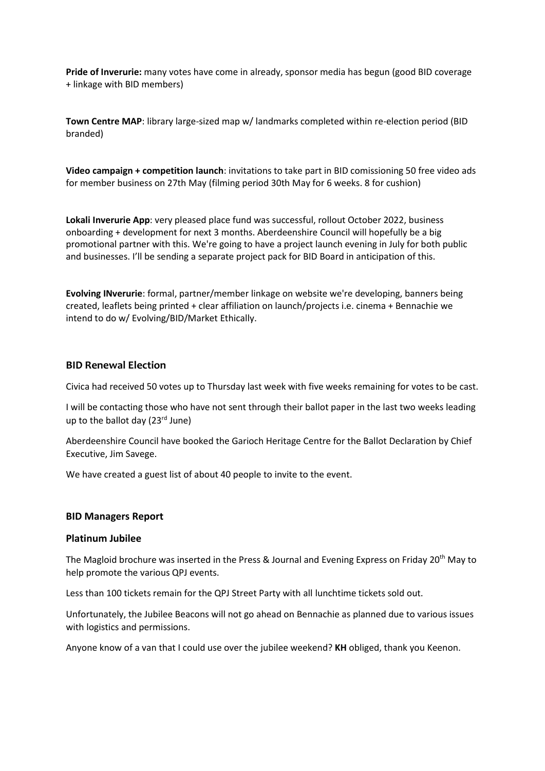**Pride of Inverurie:** many votes have come in already, sponsor media has begun (good BID coverage + linkage with BID members)

**Town Centre MAP**: library large-sized map w/ landmarks completed within re-election period (BID branded)

**Video campaign + competition launch**: invitations to take part in BID comissioning 50 free video ads for member business on 27th May (filming period 30th May for 6 weeks. 8 for cushion)

**Lokali Inverurie App**: very pleased place fund was successful, rollout October 2022, business onboarding + development for next 3 months. Aberdeenshire Council will hopefully be a big promotional partner with this. We're going to have a project launch evening in July for both public and businesses. I'll be sending a separate project pack for BID Board in anticipation of this.

**Evolving INverurie**: formal, partner/member linkage on website we're developing, banners being created, leaflets being printed + clear affiliation on launch/projects i.e. cinema + Bennachie we intend to do w/ Evolving/BID/Market Ethically.

#### **BID Renewal Election**

Civica had received 50 votes up to Thursday last week with five weeks remaining for votes to be cast.

I will be contacting those who have not sent through their ballot paper in the last two weeks leading up to the ballot day (23rd June)

Aberdeenshire Council have booked the Garioch Heritage Centre for the Ballot Declaration by Chief Executive, Jim Savege.

We have created a guest list of about 40 people to invite to the event.

#### **BID Managers Report**

#### **Platinum Jubilee**

The Magloid brochure was inserted in the Press & Journal and Evening Express on Friday 20<sup>th</sup> May to help promote the various QPJ events.

Less than 100 tickets remain for the QPJ Street Party with all lunchtime tickets sold out.

Unfortunately, the Jubilee Beacons will not go ahead on Bennachie as planned due to various issues with logistics and permissions.

Anyone know of a van that I could use over the jubilee weekend? **KH** obliged, thank you Keenon.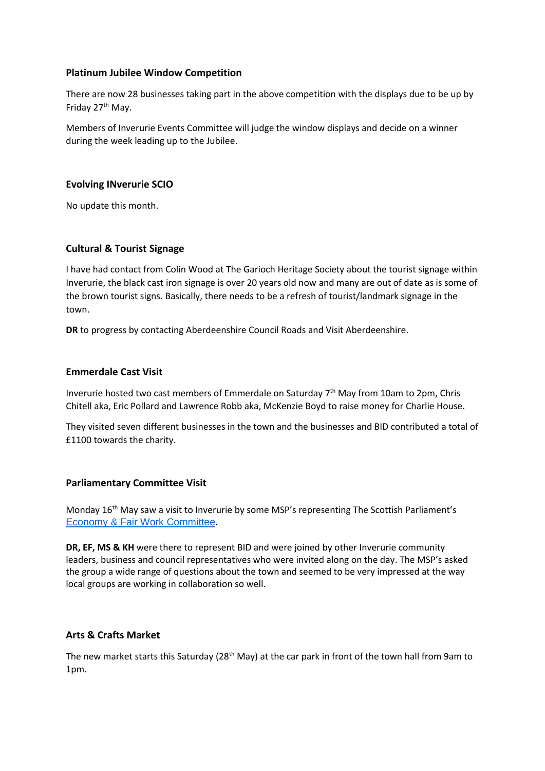### **Platinum Jubilee Window Competition**

There are now 28 businesses taking part in the above competition with the displays due to be up by Friday 27<sup>th</sup> May.

Members of Inverurie Events Committee will judge the window displays and decide on a winner during the week leading up to the Jubilee.

#### **Evolving INverurie SCIO**

No update this month.

### **Cultural & Tourist Signage**

I have had contact from Colin Wood at The Garioch Heritage Society about the tourist signage within Inverurie, the black cast iron signage is over 20 years old now and many are out of date as is some of the brown tourist signs. Basically, there needs to be a refresh of tourist/landmark signage in the town.

**DR** to progress by contacting Aberdeenshire Council Roads and Visit Aberdeenshire.

#### **Emmerdale Cast Visit**

Inverurie hosted two cast members of Emmerdale on Saturday 7<sup>th</sup> May from 10am to 2pm, Chris Chitell aka, Eric Pollard and Lawrence Robb aka, McKenzie Boyd to raise money for Charlie House.

They visited seven different businesses in the town and the businesses and BID contributed a total of £1100 towards the charity.

#### **Parliamentary Committee Visit**

Monday 16<sup>th</sup> May saw a visit to Inverurie by some MSP's representing The Scottish Parliament's [Economy & Fair Work Committee](https://www.parliament.scot/chamber-and-committees/committees/current-and-previous-committees/session-6-economy-and-fair-work-committee).

**DR, EF, MS & KH** were there to represent BID and were joined by other Inverurie community leaders, business and council representatives who were invited along on the day. The MSP's asked the group a wide range of questions about the town and seemed to be very impressed at the way local groups are working in collaboration so well.

#### **Arts & Crafts Market**

The new market starts this Saturday (28<sup>th</sup> May) at the car park in front of the town hall from 9am to 1pm.